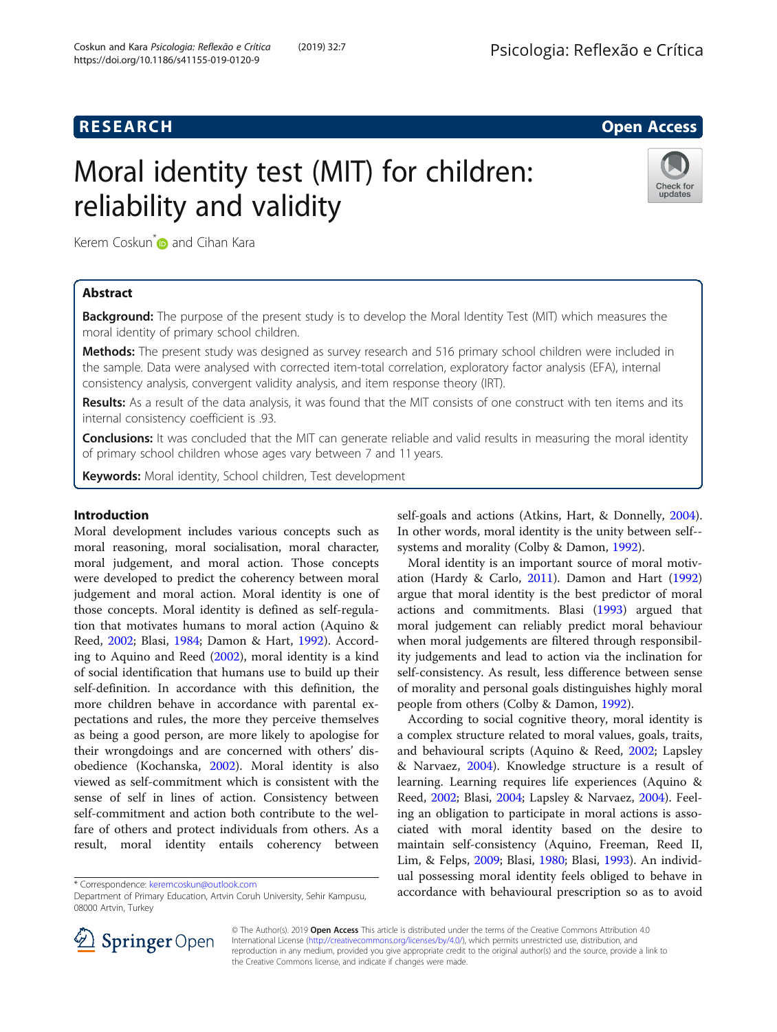## **RESEARCH CHE Open Access**

# Moral identity test (MIT) for children: reliability and validity



Kerem Coskun<sup>[\\*](http://orcid.org/0000-0002-3343-2112)</sup> and Cihan Kara

## Abstract

**Background:** The purpose of the present study is to develop the Moral Identity Test (MIT) which measures the moral identity of primary school children.

Methods: The present study was designed as survey research and 516 primary school children were included in the sample. Data were analysed with corrected item-total correlation, exploratory factor analysis (EFA), internal consistency analysis, convergent validity analysis, and item response theory (IRT).

Results: As a result of the data analysis, it was found that the MIT consists of one construct with ten items and its internal consistency coefficient is .93.

**Conclusions:** It was concluded that the MIT can generate reliable and valid results in measuring the moral identity of primary school children whose ages vary between 7 and 11 years.

Keywords: Moral identity, School children, Test development

#### Introduction

Moral development includes various concepts such as moral reasoning, moral socialisation, moral character, moral judgement, and moral action. Those concepts were developed to predict the coherency between moral judgement and moral action. Moral identity is one of those concepts. Moral identity is defined as self-regulation that motivates humans to moral action (Aquino & Reed, [2002](#page-7-0); Blasi, [1984;](#page-7-0) Damon & Hart, [1992](#page-7-0)). According to Aquino and Reed [\(2002\)](#page-7-0), moral identity is a kind of social identification that humans use to build up their self-definition. In accordance with this definition, the more children behave in accordance with parental expectations and rules, the more they perceive themselves as being a good person, are more likely to apologise for their wrongdoings and are concerned with others' disobedience (Kochanska, [2002\)](#page-7-0). Moral identity is also viewed as self-commitment which is consistent with the sense of self in lines of action. Consistency between self-commitment and action both contribute to the welfare of others and protect individuals from others. As a result, moral identity entails coherency between

self-goals and actions (Atkins, Hart, & Donnelly, [2004](#page-7-0)). In other words, moral identity is the unity between self- systems and morality (Colby & Damon, [1992](#page-7-0)).

Moral identity is an important source of moral motivation (Hardy & Carlo, [2011](#page-7-0)). Damon and Hart ([1992](#page-7-0)) argue that moral identity is the best predictor of moral actions and commitments. Blasi ([1993\)](#page-7-0) argued that moral judgement can reliably predict moral behaviour when moral judgements are filtered through responsibility judgements and lead to action via the inclination for self-consistency. As result, less difference between sense of morality and personal goals distinguishes highly moral people from others (Colby & Damon, [1992\)](#page-7-0).

According to social cognitive theory, moral identity is a complex structure related to moral values, goals, traits, and behavioural scripts (Aquino & Reed, [2002;](#page-7-0) Lapsley & Narvaez, [2004\)](#page-7-0). Knowledge structure is a result of learning. Learning requires life experiences (Aquino & Reed, [2002](#page-7-0); Blasi, [2004](#page-7-0); Lapsley & Narvaez, [2004\)](#page-7-0). Feeling an obligation to participate in moral actions is associated with moral identity based on the desire to maintain self-consistency (Aquino, Freeman, Reed II, Lim, & Felps, [2009](#page-7-0); Blasi, [1980;](#page-7-0) Blasi, [1993\)](#page-7-0). An individual possessing moral identity feels obliged to behave in accordance with behavioural prescription so as to avoid \* Correspondence: [keremcoskun@outlook.com](mailto:keremcoskun@outlook.com)



© The Author(s). 2019 Open Access This article is distributed under the terms of the Creative Commons Attribution 4.0 International License ([http://creativecommons.org/licenses/by/4.0/\)](http://creativecommons.org/licenses/by/4.0/), which permits unrestricted use, distribution, and reproduction in any medium, provided you give appropriate credit to the original author(s) and the source, provide a link to the Creative Commons license, and indicate if changes were made.

Department of Primary Education, Artvin Coruh University, Sehir Kampusu, 08000 Artvin, Turkey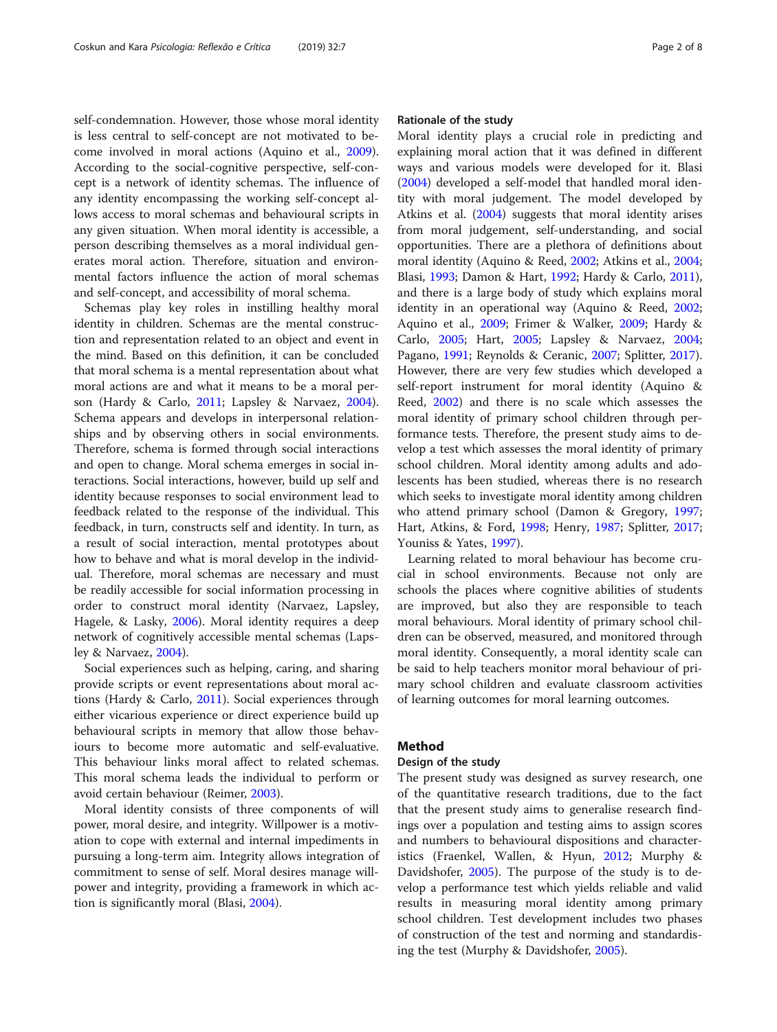self-condemnation. However, those whose moral identity is less central to self-concept are not motivated to become involved in moral actions (Aquino et al., [2009](#page-7-0)). According to the social-cognitive perspective, self-concept is a network of identity schemas. The influence of any identity encompassing the working self-concept allows access to moral schemas and behavioural scripts in any given situation. When moral identity is accessible, a person describing themselves as a moral individual generates moral action. Therefore, situation and environmental factors influence the action of moral schemas and self-concept, and accessibility of moral schema.

Schemas play key roles in instilling healthy moral identity in children. Schemas are the mental construction and representation related to an object and event in the mind. Based on this definition, it can be concluded that moral schema is a mental representation about what moral actions are and what it means to be a moral person (Hardy & Carlo, [2011](#page-7-0); Lapsley & Narvaez, [2004](#page-7-0)). Schema appears and develops in interpersonal relationships and by observing others in social environments. Therefore, schema is formed through social interactions and open to change. Moral schema emerges in social interactions. Social interactions, however, build up self and identity because responses to social environment lead to feedback related to the response of the individual. This feedback, in turn, constructs self and identity. In turn, as a result of social interaction, mental prototypes about how to behave and what is moral develop in the individual. Therefore, moral schemas are necessary and must be readily accessible for social information processing in order to construct moral identity (Narvaez, Lapsley, Hagele, & Lasky, [2006\)](#page-7-0). Moral identity requires a deep network of cognitively accessible mental schemas (Lapsley & Narvaez, [2004](#page-7-0)).

Social experiences such as helping, caring, and sharing provide scripts or event representations about moral actions (Hardy & Carlo, [2011\)](#page-7-0). Social experiences through either vicarious experience or direct experience build up behavioural scripts in memory that allow those behaviours to become more automatic and self-evaluative. This behaviour links moral affect to related schemas. This moral schema leads the individual to perform or avoid certain behaviour (Reimer, [2003\)](#page-7-0).

Moral identity consists of three components of will power, moral desire, and integrity. Willpower is a motivation to cope with external and internal impediments in pursuing a long-term aim. Integrity allows integration of commitment to sense of self. Moral desires manage willpower and integrity, providing a framework in which action is significantly moral (Blasi, [2004\)](#page-7-0).

#### Rationale of the study

Moral identity plays a crucial role in predicting and explaining moral action that it was defined in different ways and various models were developed for it. Blasi ([2004\)](#page-7-0) developed a self-model that handled moral identity with moral judgement. The model developed by Atkins et al. [\(2004\)](#page-7-0) suggests that moral identity arises from moral judgement, self-understanding, and social opportunities. There are a plethora of definitions about moral identity (Aquino & Reed, [2002](#page-7-0); Atkins et al., [2004](#page-7-0); Blasi, [1993;](#page-7-0) Damon & Hart, [1992;](#page-7-0) Hardy & Carlo, [2011](#page-7-0)), and there is a large body of study which explains moral identity in an operational way (Aquino & Reed, [2002](#page-7-0); Aquino et al., [2009;](#page-7-0) Frimer & Walker, [2009;](#page-7-0) Hardy & Carlo, [2005;](#page-7-0) Hart, [2005;](#page-7-0) Lapsley & Narvaez, [2004](#page-7-0); Pagano, [1991;](#page-7-0) Reynolds & Ceranic, [2007](#page-7-0); Splitter, [2017](#page-7-0)). However, there are very few studies which developed a self-report instrument for moral identity (Aquino & Reed, [2002\)](#page-7-0) and there is no scale which assesses the moral identity of primary school children through performance tests. Therefore, the present study aims to develop a test which assesses the moral identity of primary school children. Moral identity among adults and adolescents has been studied, whereas there is no research which seeks to investigate moral identity among children who attend primary school (Damon & Gregory, [1997](#page-7-0); Hart, Atkins, & Ford, [1998;](#page-7-0) Henry, [1987;](#page-7-0) Splitter, [2017](#page-7-0); Youniss & Yates, [1997\)](#page-7-0).

Learning related to moral behaviour has become crucial in school environments. Because not only are schools the places where cognitive abilities of students are improved, but also they are responsible to teach moral behaviours. Moral identity of primary school children can be observed, measured, and monitored through moral identity. Consequently, a moral identity scale can be said to help teachers monitor moral behaviour of primary school children and evaluate classroom activities of learning outcomes for moral learning outcomes.

#### Method

#### Design of the study

The present study was designed as survey research, one of the quantitative research traditions, due to the fact that the present study aims to generalise research findings over a population and testing aims to assign scores and numbers to behavioural dispositions and characteristics (Fraenkel, Wallen, & Hyun, [2012;](#page-7-0) Murphy & Davidshofer, [2005](#page-7-0)). The purpose of the study is to develop a performance test which yields reliable and valid results in measuring moral identity among primary school children. Test development includes two phases of construction of the test and norming and standardising the test (Murphy & Davidshofer, [2005\)](#page-7-0).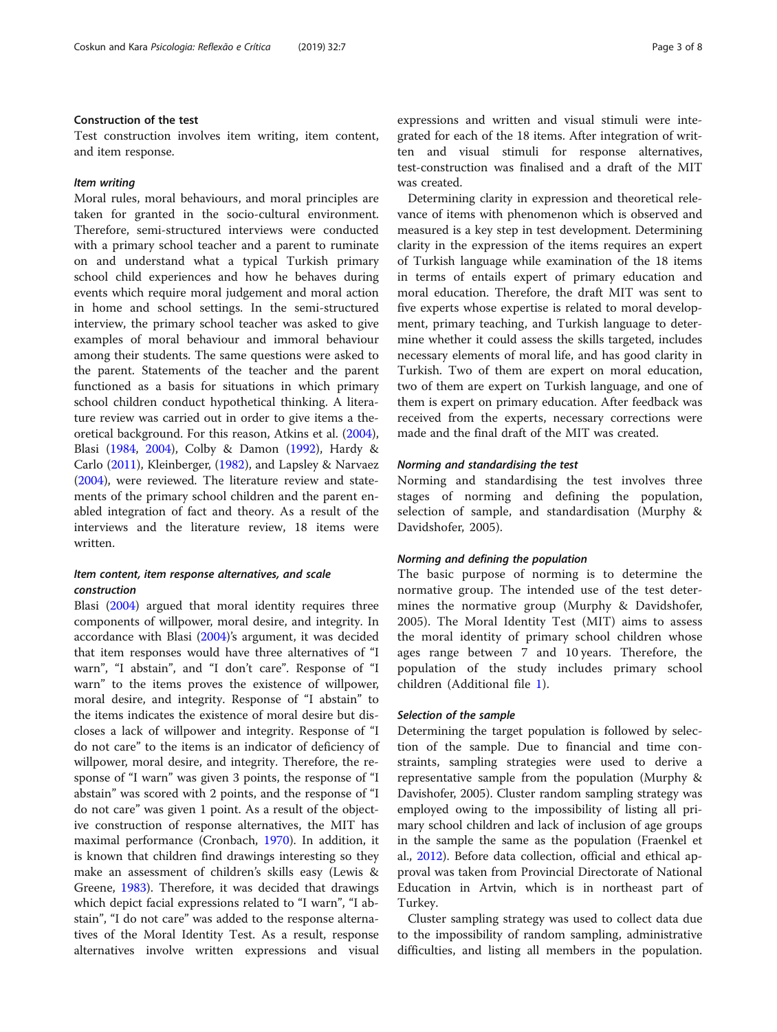#### Construction of the test

Test construction involves item writing, item content, and item response.

### Item writing

Moral rules, moral behaviours, and moral principles are taken for granted in the socio-cultural environment. Therefore, semi-structured interviews were conducted with a primary school teacher and a parent to ruminate on and understand what a typical Turkish primary school child experiences and how he behaves during events which require moral judgement and moral action in home and school settings. In the semi-structured interview, the primary school teacher was asked to give examples of moral behaviour and immoral behaviour among their students. The same questions were asked to the parent. Statements of the teacher and the parent functioned as a basis for situations in which primary school children conduct hypothetical thinking. A literature review was carried out in order to give items a theoretical background. For this reason, Atkins et al. ([2004](#page-7-0)), Blasi [\(1984](#page-7-0), [2004](#page-7-0)), Colby & Damon [\(1992](#page-7-0)), Hardy & Carlo [\(2011\)](#page-7-0), Kleinberger, ([1982\)](#page-7-0), and Lapsley & Narvaez ([2004](#page-7-0)), were reviewed. The literature review and statements of the primary school children and the parent enabled integration of fact and theory. As a result of the interviews and the literature review, 18 items were written.

#### Item content, item response alternatives, and scale construction

Blasi [\(2004\)](#page-7-0) argued that moral identity requires three components of willpower, moral desire, and integrity. In accordance with Blasi ([2004\)](#page-7-0)'s argument, it was decided that item responses would have three alternatives of "I warn", "I abstain", and "I don't care". Response of "I warn" to the items proves the existence of willpower, moral desire, and integrity. Response of "I abstain" to the items indicates the existence of moral desire but discloses a lack of willpower and integrity. Response of "I do not care" to the items is an indicator of deficiency of willpower, moral desire, and integrity. Therefore, the response of "I warn" was given 3 points, the response of "I abstain" was scored with 2 points, and the response of "I do not care" was given 1 point. As a result of the objective construction of response alternatives, the MIT has maximal performance (Cronbach, [1970\)](#page-7-0). In addition, it is known that children find drawings interesting so they make an assessment of children's skills easy (Lewis & Greene, [1983](#page-7-0)). Therefore, it was decided that drawings which depict facial expressions related to "I warn", "I abstain", "I do not care" was added to the response alternatives of the Moral Identity Test. As a result, response alternatives involve written expressions and visual

expressions and written and visual stimuli were integrated for each of the 18 items. After integration of written and visual stimuli for response alternatives, test-construction was finalised and a draft of the MIT was created.

Determining clarity in expression and theoretical relevance of items with phenomenon which is observed and measured is a key step in test development. Determining clarity in the expression of the items requires an expert of Turkish language while examination of the 18 items in terms of entails expert of primary education and moral education. Therefore, the draft MIT was sent to five experts whose expertise is related to moral development, primary teaching, and Turkish language to determine whether it could assess the skills targeted, includes necessary elements of moral life, and has good clarity in Turkish. Two of them are expert on moral education, two of them are expert on Turkish language, and one of them is expert on primary education. After feedback was received from the experts, necessary corrections were made and the final draft of the MIT was created.

#### Norming and standardising the test

Norming and standardising the test involves three stages of norming and defining the population, selection of sample, and standardisation (Murphy & Davidshofer, 2005).

#### Norming and defining the population

The basic purpose of norming is to determine the normative group. The intended use of the test determines the normative group (Murphy & Davidshofer, 2005). The Moral Identity Test (MIT) aims to assess the moral identity of primary school children whose ages range between 7 and 10 years. Therefore, the population of the study includes primary school children (Additional file [1\)](#page-6-0).

#### Selection of the sample

Determining the target population is followed by selection of the sample. Due to financial and time constraints, sampling strategies were used to derive a representative sample from the population (Murphy & Davishofer, 2005). Cluster random sampling strategy was employed owing to the impossibility of listing all primary school children and lack of inclusion of age groups in the sample the same as the population (Fraenkel et al., [2012](#page-7-0)). Before data collection, official and ethical approval was taken from Provincial Directorate of National Education in Artvin, which is in northeast part of Turkey.

Cluster sampling strategy was used to collect data due to the impossibility of random sampling, administrative difficulties, and listing all members in the population.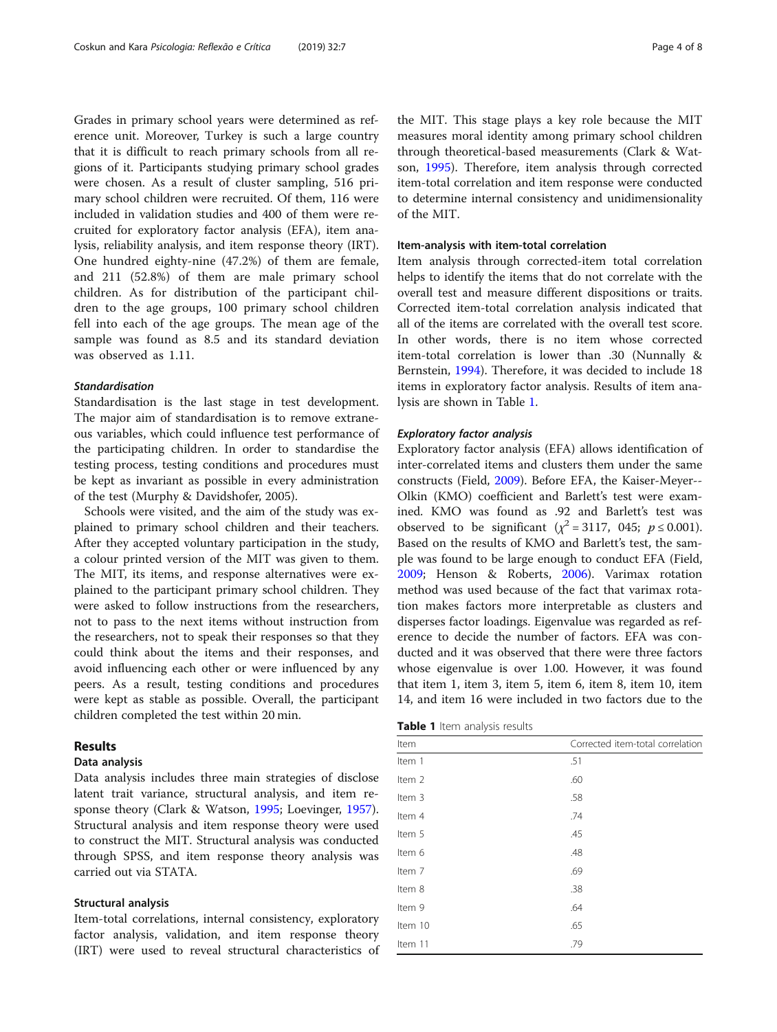<span id="page-3-0"></span>Grades in primary school years were determined as reference unit. Moreover, Turkey is such a large country that it is difficult to reach primary schools from all regions of it. Participants studying primary school grades were chosen. As a result of cluster sampling, 516 primary school children were recruited. Of them, 116 were included in validation studies and 400 of them were recruited for exploratory factor analysis (EFA), item analysis, reliability analysis, and item response theory (IRT). One hundred eighty-nine (47.2%) of them are female, and 211 (52.8%) of them are male primary school children. As for distribution of the participant children to the age groups, 100 primary school children fell into each of the age groups. The mean age of the sample was found as 8.5 and its standard deviation was observed as 1.11.

#### Standardisation

Standardisation is the last stage in test development. The major aim of standardisation is to remove extraneous variables, which could influence test performance of the participating children. In order to standardise the testing process, testing conditions and procedures must be kept as invariant as possible in every administration of the test (Murphy & Davidshofer, 2005).

Schools were visited, and the aim of the study was explained to primary school children and their teachers. After they accepted voluntary participation in the study, a colour printed version of the MIT was given to them. The MIT, its items, and response alternatives were explained to the participant primary school children. They were asked to follow instructions from the researchers, not to pass to the next items without instruction from the researchers, not to speak their responses so that they could think about the items and their responses, and avoid influencing each other or were influenced by any peers. As a result, testing conditions and procedures were kept as stable as possible. Overall, the participant children completed the test within 20 min.

#### Results

#### Data analysis

Data analysis includes three main strategies of disclose latent trait variance, structural analysis, and item response theory (Clark & Watson, [1995](#page-7-0); Loevinger, [1957](#page-7-0)). Structural analysis and item response theory were used to construct the MIT. Structural analysis was conducted through SPSS, and item response theory analysis was carried out via STATA.

#### Structural analysis

Item-total correlations, internal consistency, exploratory factor analysis, validation, and item response theory (IRT) were used to reveal structural characteristics of the MIT. This stage plays a key role because the MIT measures moral identity among primary school children through theoretical-based measurements (Clark & Watson, [1995\)](#page-7-0). Therefore, item analysis through corrected item-total correlation and item response were conducted to determine internal consistency and unidimensionality of the MIT.

#### Item-analysis with item-total correlation

Item analysis through corrected-item total correlation helps to identify the items that do not correlate with the overall test and measure different dispositions or traits. Corrected item-total correlation analysis indicated that all of the items are correlated with the overall test score. In other words, there is no item whose corrected item-total correlation is lower than .30 (Nunnally & Bernstein, [1994](#page-7-0)). Therefore, it was decided to include 18 items in exploratory factor analysis. Results of item analysis are shown in Table 1.

#### Exploratory factor analysis

Exploratory factor analysis (EFA) allows identification of inter-correlated items and clusters them under the same constructs (Field, [2009\)](#page-7-0). Before EFA, the Kaiser-Meyer-- Olkin (KMO) coefficient and Barlett's test were examined. KMO was found as .92 and Barlett's test was observed to be significant ( $\chi^2 = 3117$ , 045;  $p \le 0.001$ ). Based on the results of KMO and Barlett's test, the sample was found to be large enough to conduct EFA (Field, [2009](#page-7-0); Henson & Roberts, [2006](#page-7-0)). Varimax rotation method was used because of the fact that varimax rotation makes factors more interpretable as clusters and disperses factor loadings. Eigenvalue was regarded as reference to decide the number of factors. EFA was conducted and it was observed that there were three factors whose eigenvalue is over 1.00. However, it was found that item 1, item 3, item 5, item 6, item 8, item 10, item 14, and item 16 were included in two factors due to the

|  |  | Table 1 Item analysis results |  |
|--|--|-------------------------------|--|
|--|--|-------------------------------|--|

| Item    | Corrected item-total correlation |  |
|---------|----------------------------------|--|
| Item 1  | .51                              |  |
| Item 2  | .60                              |  |
| Item 3  | .58                              |  |
| Item 4  | .74                              |  |
| Item 5  | .45                              |  |
| Item 6  | .48                              |  |
| Item 7  | .69                              |  |
| Item 8  | .38                              |  |
| Item 9  | .64                              |  |
| Item 10 | .65                              |  |
| Item 11 | .79                              |  |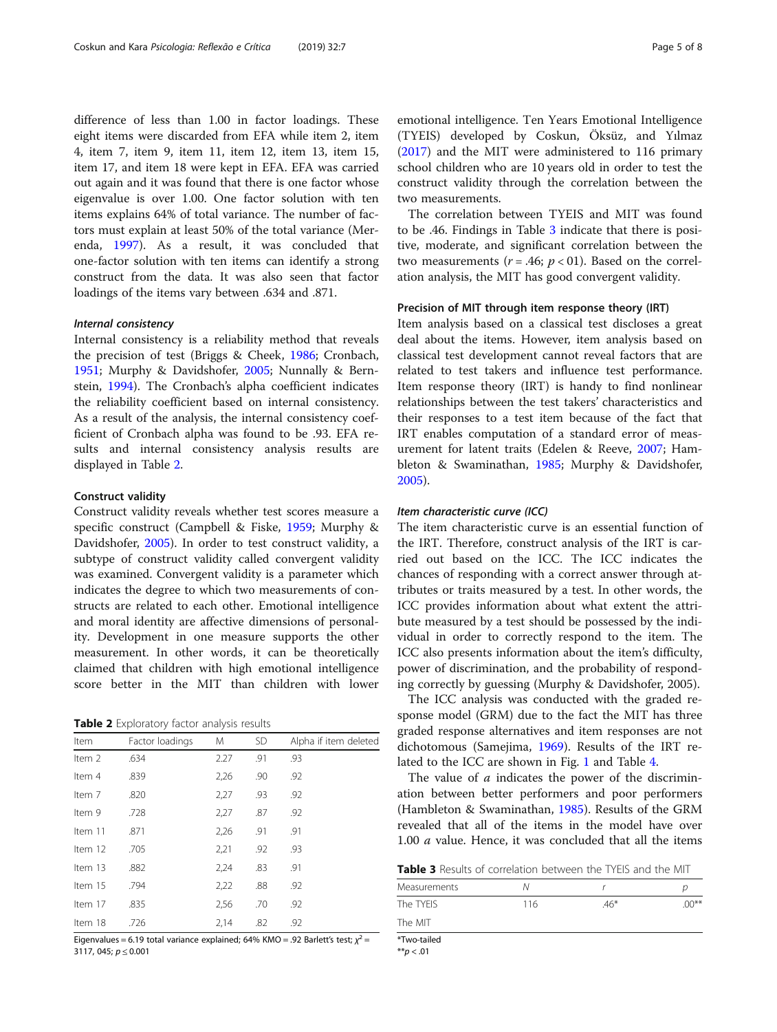difference of less than 1.00 in factor loadings. These eight items were discarded from EFA while item 2, item 4, item 7, item 9, item 11, item 12, item 13, item 15, item 17, and item 18 were kept in EFA. EFA was carried out again and it was found that there is one factor whose eigenvalue is over 1.00. One factor solution with ten items explains 64% of total variance. The number of factors must explain at least 50% of the total variance (Merenda, [1997\)](#page-7-0). As a result, it was concluded that one-factor solution with ten items can identify a strong construct from the data. It was also seen that factor loadings of the items vary between .634 and .871.

#### Internal consistency

Internal consistency is a reliability method that reveals the precision of test (Briggs & Cheek, [1986;](#page-7-0) Cronbach, [1951](#page-7-0); Murphy & Davidshofer, [2005;](#page-7-0) Nunnally & Bernstein, [1994](#page-7-0)). The Cronbach's alpha coefficient indicates the reliability coefficient based on internal consistency. As a result of the analysis, the internal consistency coefficient of Cronbach alpha was found to be .93. EFA results and internal consistency analysis results are displayed in Table 2.

#### Construct validity

Construct validity reveals whether test scores measure a specific construct (Campbell & Fiske, [1959](#page-7-0); Murphy & Davidshofer, [2005](#page-7-0)). In order to test construct validity, a subtype of construct validity called convergent validity was examined. Convergent validity is a parameter which indicates the degree to which two measurements of constructs are related to each other. Emotional intelligence and moral identity are affective dimensions of personality. Development in one measure supports the other measurement. In other words, it can be theoretically claimed that children with high emotional intelligence score better in the MIT than children with lower

Table 2 Exploratory factor analysis results

| Item    | Factor loadings | M    | <b>SD</b> | Alpha if item deleted |
|---------|-----------------|------|-----------|-----------------------|
| Item 2  | .634            | 2.27 | .91       | .93                   |
| Item 4  | .839            | 2,26 | .90       | .92                   |
| Item 7  | .820            | 2,27 | .93       | .92                   |
| Item 9  | .728            | 2,27 | .87       | .92                   |
| Item 11 | .871            | 2,26 | .91       | .91                   |
| Item 12 | .705            | 2,21 | .92       | .93                   |
| Item 13 | .882            | 2,24 | .83       | .91                   |
| Item 15 | .794            | 2,22 | .88       | .92                   |
| Item 17 | .835            | 2,56 | .70       | .92                   |
| Item 18 | .726            | 2.14 | .82       | .92                   |

Eigenvalues = 6.19 total variance explained; 64% KMO = .92 Barlett's test;  $\chi^2$  = 3117, 045;  $p \le 0.001$ 

emotional intelligence. Ten Years Emotional Intelligence (TYEIS) developed by Coskun, Öksüz, and Yılmaz ([2017\)](#page-7-0) and the MIT were administered to 116 primary school children who are 10 years old in order to test the construct validity through the correlation between the two measurements.

The correlation between TYEIS and MIT was found to be .46. Findings in Table 3 indicate that there is positive, moderate, and significant correlation between the two measurements ( $r = .46$ ;  $p < 01$ ). Based on the correlation analysis, the MIT has good convergent validity.

#### Precision of MIT through item response theory (IRT)

Item analysis based on a classical test discloses a great deal about the items. However, item analysis based on classical test development cannot reveal factors that are related to test takers and influence test performance. Item response theory (IRT) is handy to find nonlinear relationships between the test takers' characteristics and their responses to a test item because of the fact that IRT enables computation of a standard error of measurement for latent traits (Edelen & Reeve, [2007](#page-7-0); Hambleton & Swaminathan, [1985](#page-7-0); Murphy & Davidshofer, [2005](#page-7-0)).

#### Item characteristic curve (ICC)

The item characteristic curve is an essential function of the IRT. Therefore, construct analysis of the IRT is carried out based on the ICC. The ICC indicates the chances of responding with a correct answer through attributes or traits measured by a test. In other words, the ICC provides information about what extent the attribute measured by a test should be possessed by the individual in order to correctly respond to the item. The ICC also presents information about the item's difficulty, power of discrimination, and the probability of responding correctly by guessing (Murphy & Davidshofer, 2005).

The ICC analysis was conducted with the graded response model (GRM) due to the fact the MIT has three graded response alternatives and item responses are not dichotomous (Samejima, [1969](#page-7-0)). Results of the IRT related to the ICC are shown in Fig. [1](#page-5-0) and Table [4.](#page-5-0)

The value of  $a$  indicates the power of the discrimination between better performers and poor performers (Hambleton & Swaminathan, [1985\)](#page-7-0). Results of the GRM revealed that all of the items in the model have over 1.00 *a* value. Hence, it was concluded that all the items

Table 3 Results of correlation between the TYEIS and the MIT

| Measurements | Ν   |        |         |
|--------------|-----|--------|---------|
| The TYEIS    | 116 | $.46*$ | $00***$ |
| The MIT      |     |        |         |
| *Two-tailed  |     |        |         |

 $* p < .01$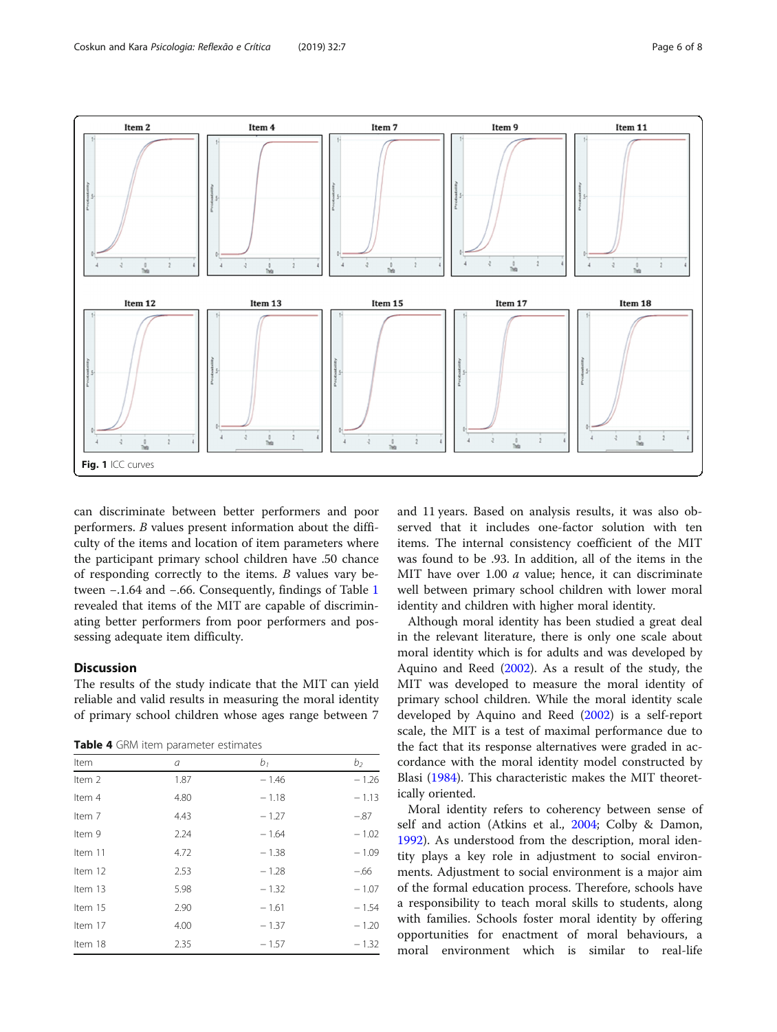<span id="page-5-0"></span>

can discriminate between better performers and poor performers. B values present information about the difficulty of the items and location of item parameters where the participant primary school children have .50 chance of responding correctly to the items. B values vary between −.1.64 and −.66. Consequently, findings of Table [1](#page-3-0) revealed that items of the MIT are capable of discriminating better performers from poor performers and possessing adequate item difficulty.

#### **Discussion**

The results of the study indicate that the MIT can yield reliable and valid results in measuring the moral identity of primary school children whose ages range between 7

Table 4 GRM item parameter estimates

| Item    | a    | b <sub>1</sub> | b <sub>2</sub> |
|---------|------|----------------|----------------|
| Item 2  | 1.87 | $-1.46$        | $-1.26$        |
| Item 4  | 4.80 | $-1.18$        | $-1.13$        |
| Item 7  | 4.43 | $-1.27$        | $-.87$         |
| Item 9  | 2.24 | $-1.64$        | $-1.02$        |
| Item 11 | 4.72 | $-1.38$        | $-1.09$        |
| Item 12 | 2.53 | $-1.28$        | $-.66$         |
| Item 13 | 5.98 | $-1.32$        | $-1.07$        |
| Item 15 | 2.90 | $-1.61$        | $-1.54$        |
| Item 17 | 4.00 | $-1.37$        | $-1.20$        |
| Item 18 | 2.35 | $-1.57$        | $-1.32$        |

and 11 years. Based on analysis results, it was also observed that it includes one-factor solution with ten items. The internal consistency coefficient of the MIT was found to be .93. In addition, all of the items in the MIT have over 1.00 *a* value; hence, it can discriminate well between primary school children with lower moral identity and children with higher moral identity.

Although moral identity has been studied a great deal in the relevant literature, there is only one scale about moral identity which is for adults and was developed by Aquino and Reed ([2002](#page-7-0)). As a result of the study, the MIT was developed to measure the moral identity of primary school children. While the moral identity scale developed by Aquino and Reed [\(2002\)](#page-7-0) is a self-report scale, the MIT is a test of maximal performance due to the fact that its response alternatives were graded in accordance with the moral identity model constructed by Blasi ([1984](#page-7-0)). This characteristic makes the MIT theoretically oriented.

Moral identity refers to coherency between sense of self and action (Atkins et al., [2004;](#page-7-0) Colby & Damon, [1992](#page-7-0)). As understood from the description, moral identity plays a key role in adjustment to social environments. Adjustment to social environment is a major aim of the formal education process. Therefore, schools have a responsibility to teach moral skills to students, along with families. Schools foster moral identity by offering opportunities for enactment of moral behaviours, a moral environment which is similar to real-life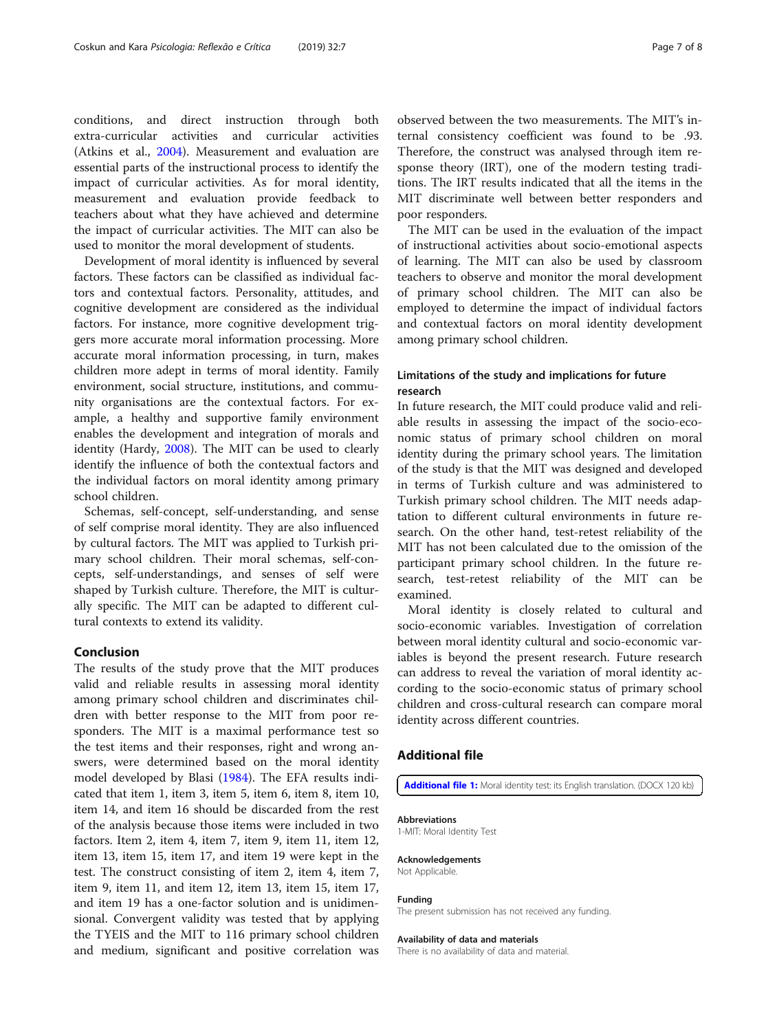<span id="page-6-0"></span>conditions, and direct instruction through both extra-curricular activities and curricular activities (Atkins et al., [2004\)](#page-7-0). Measurement and evaluation are essential parts of the instructional process to identify the impact of curricular activities. As for moral identity, measurement and evaluation provide feedback to teachers about what they have achieved and determine the impact of curricular activities. The MIT can also be used to monitor the moral development of students.

Development of moral identity is influenced by several factors. These factors can be classified as individual factors and contextual factors. Personality, attitudes, and cognitive development are considered as the individual factors. For instance, more cognitive development triggers more accurate moral information processing. More accurate moral information processing, in turn, makes children more adept in terms of moral identity. Family environment, social structure, institutions, and community organisations are the contextual factors. For example, a healthy and supportive family environment enables the development and integration of morals and identity (Hardy, [2008\)](#page-7-0). The MIT can be used to clearly identify the influence of both the contextual factors and the individual factors on moral identity among primary school children.

Schemas, self-concept, self-understanding, and sense of self comprise moral identity. They are also influenced by cultural factors. The MIT was applied to Turkish primary school children. Their moral schemas, self-concepts, self-understandings, and senses of self were shaped by Turkish culture. Therefore, the MIT is culturally specific. The MIT can be adapted to different cultural contexts to extend its validity.

#### Conclusion

The results of the study prove that the MIT produces valid and reliable results in assessing moral identity among primary school children and discriminates children with better response to the MIT from poor responders. The MIT is a maximal performance test so the test items and their responses, right and wrong answers, were determined based on the moral identity model developed by Blasi ([1984](#page-7-0)). The EFA results indicated that item 1, item 3, item 5, item 6, item 8, item 10, item 14, and item 16 should be discarded from the rest of the analysis because those items were included in two factors. Item 2, item 4, item 7, item 9, item 11, item 12, item 13, item 15, item 17, and item 19 were kept in the test. The construct consisting of item 2, item 4, item 7, item 9, item 11, and item 12, item 13, item 15, item 17, and item 19 has a one-factor solution and is unidimensional. Convergent validity was tested that by applying the TYEIS and the MIT to 116 primary school children and medium, significant and positive correlation was observed between the two measurements. The MIT's internal consistency coefficient was found to be .93. Therefore, the construct was analysed through item response theory (IRT), one of the modern testing traditions. The IRT results indicated that all the items in the MIT discriminate well between better responders and poor responders.

The MIT can be used in the evaluation of the impact of instructional activities about socio-emotional aspects of learning. The MIT can also be used by classroom teachers to observe and monitor the moral development of primary school children. The MIT can also be employed to determine the impact of individual factors and contextual factors on moral identity development among primary school children.

#### Limitations of the study and implications for future research

In future research, the MIT could produce valid and reliable results in assessing the impact of the socio-economic status of primary school children on moral identity during the primary school years. The limitation of the study is that the MIT was designed and developed in terms of Turkish culture and was administered to Turkish primary school children. The MIT needs adaptation to different cultural environments in future research. On the other hand, test-retest reliability of the MIT has not been calculated due to the omission of the participant primary school children. In the future research, test-retest reliability of the MIT can be examined.

Moral identity is closely related to cultural and socio-economic variables. Investigation of correlation between moral identity cultural and socio-economic variables is beyond the present research. Future research can address to reveal the variation of moral identity according to the socio-economic status of primary school children and cross-cultural research can compare moral identity across different countries.

#### Additional file

[Additional file 1:](https://doi.org/10.1186/s41155-019-0120-9) Moral identity test: its English translation. (DOCX 120 kb)

#### Abbreviations

1-MIT: Moral Identity Test

Acknowledgements Not Applicable.

#### Funding

The present submission has not received any funding.

#### Availability of data and materials

There is no availability of data and material.